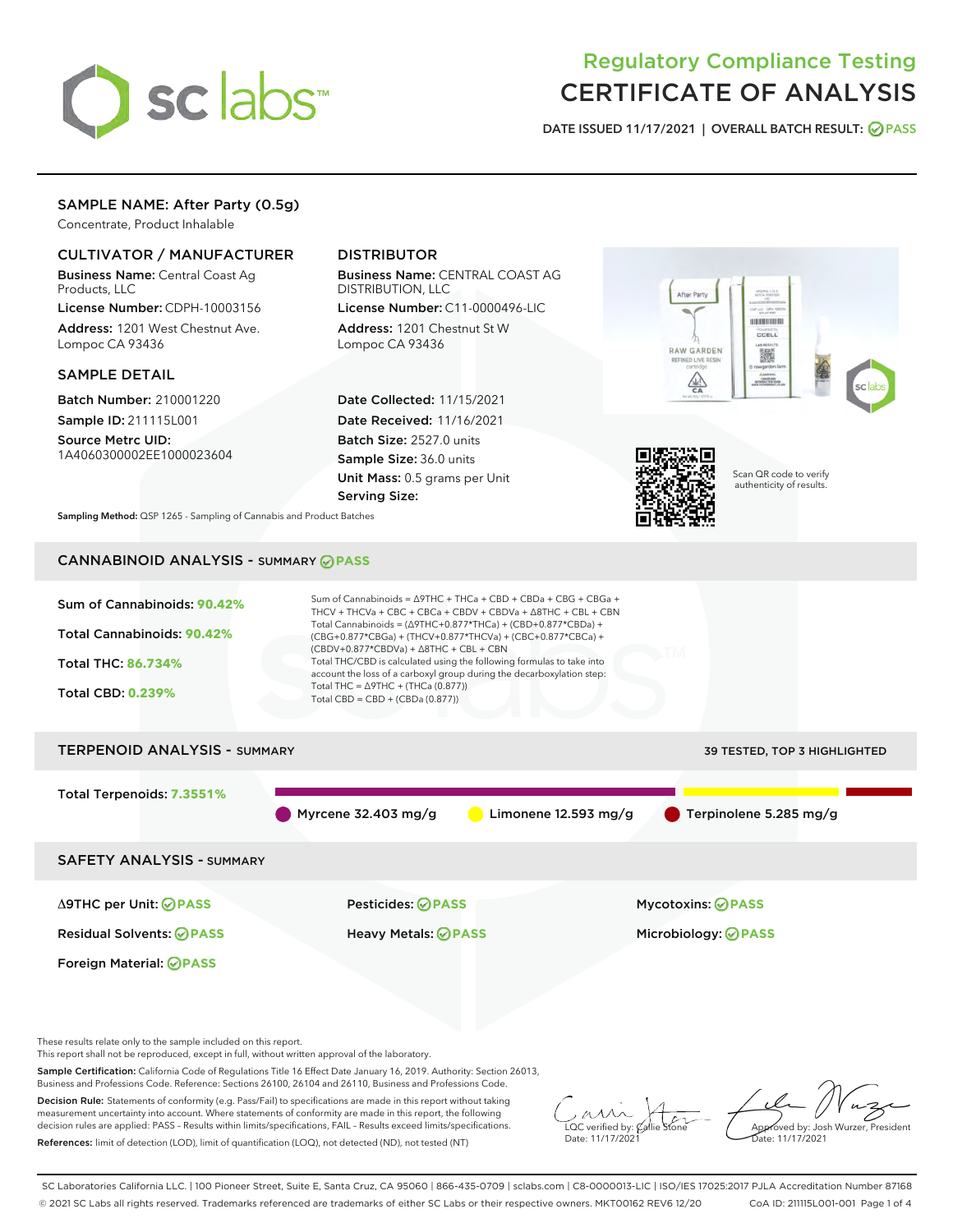

# Regulatory Compliance Testing CERTIFICATE OF ANALYSIS

DATE ISSUED 11/17/2021 | OVERALL BATCH RESULT: @ PASS

## SAMPLE NAME: After Party (0.5g)

Concentrate, Product Inhalable

## CULTIVATOR / MANUFACTURER

Business Name: Central Coast Ag Products, LLC

License Number: CDPH-10003156 Address: 1201 West Chestnut Ave. Lompoc CA 93436

#### SAMPLE DETAIL

Batch Number: 210001220 Sample ID: 211115L001

Source Metrc UID: 1A4060300002EE1000023604

## DISTRIBUTOR

Business Name: CENTRAL COAST AG DISTRIBUTION, LLC

License Number: C11-0000496-LIC Address: 1201 Chestnut St W Lompoc CA 93436

Date Collected: 11/15/2021 Date Received: 11/16/2021 Batch Size: 2527.0 units Sample Size: 36.0 units Unit Mass: 0.5 grams per Unit Serving Size:





Scan QR code to verify authenticity of results.

Sampling Method: QSP 1265 - Sampling of Cannabis and Product Batches

## CANNABINOID ANALYSIS - SUMMARY **PASS**



This report shall not be reproduced, except in full, without written approval of the laboratory.

Sample Certification: California Code of Regulations Title 16 Effect Date January 16, 2019. Authority: Section 26013, Business and Professions Code. Reference: Sections 26100, 26104 and 26110, Business and Professions Code.

Decision Rule: Statements of conformity (e.g. Pass/Fail) to specifications are made in this report without taking measurement uncertainty into account. Where statements of conformity are made in this report, the following decision rules are applied: PASS – Results within limits/specifications, FAIL – Results exceed limits/specifications. References: limit of detection (LOD), limit of quantification (LOQ), not detected (ND), not tested (NT)

 $\overline{\text{LOC}}$  verified by:  $\mathcal{C}_i$ Date: 11/17/202<sup>1</sup>

Approved by: Josh Wurzer, President ..<br>te: 11/17/2021

SC Laboratories California LLC. | 100 Pioneer Street, Suite E, Santa Cruz, CA 95060 | 866-435-0709 | sclabs.com | C8-0000013-LIC | ISO/IES 17025:2017 PJLA Accreditation Number 87168 © 2021 SC Labs all rights reserved. Trademarks referenced are trademarks of either SC Labs or their respective owners. MKT00162 REV6 12/20 CoA ID: 211115L001-001 Page 1 of 4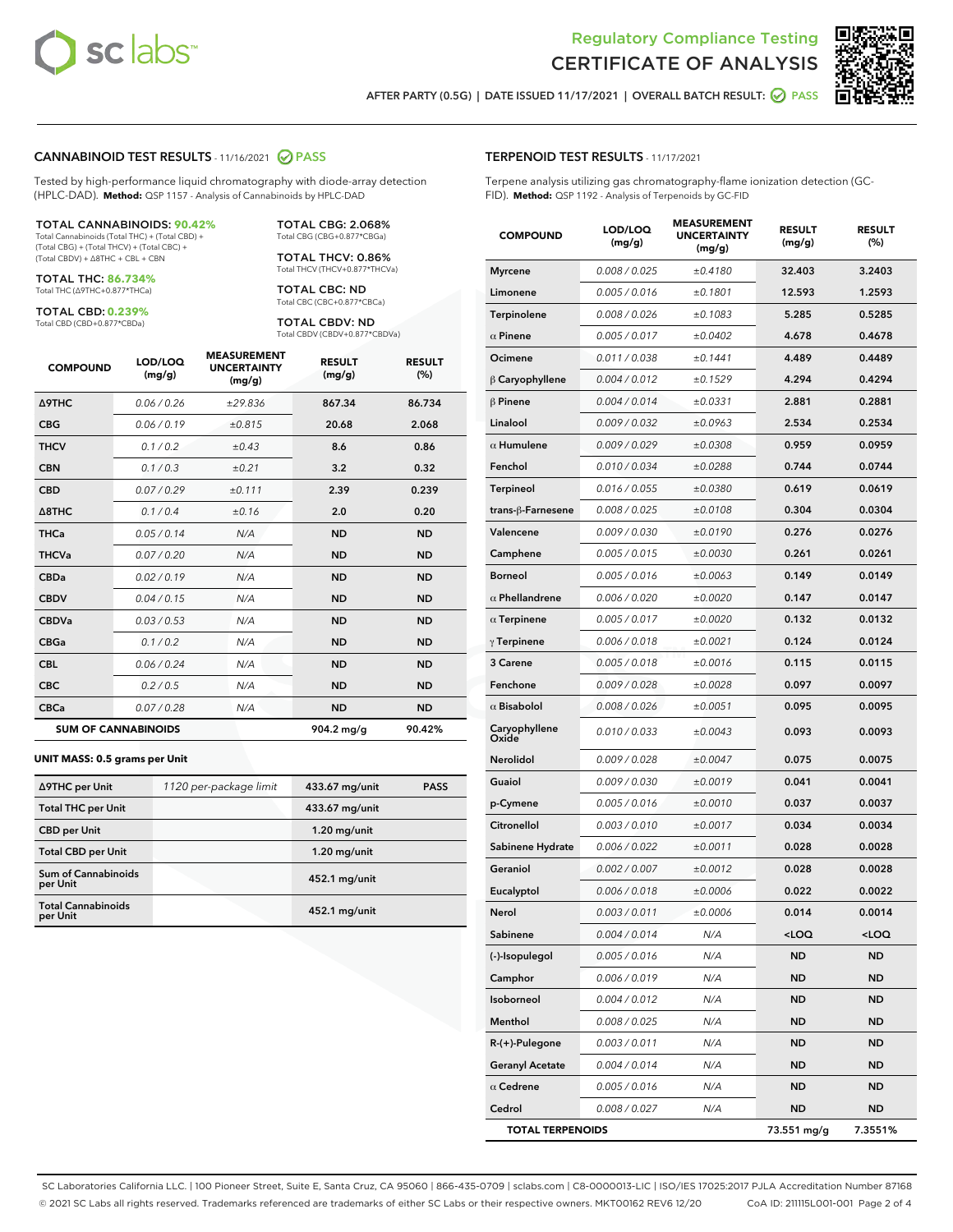

Terpene analysis utilizing gas chromatography-flame ionization detection (GC-



AFTER PARTY (0.5G) | DATE ISSUED 11/17/2021 | OVERALL BATCH RESULT:  $\bigcirc$  PASS

TERPENOID TEST RESULTS - 11/17/2021

FID). **Method:** QSP 1192 - Analysis of Terpenoids by GC-FID

#### CANNABINOID TEST RESULTS - 11/16/2021 2 PASS

Tested by high-performance liquid chromatography with diode-array detection (HPLC-DAD). **Method:** QSP 1157 - Analysis of Cannabinoids by HPLC-DAD

#### TOTAL CANNABINOIDS: **90.42%**

Total Cannabinoids (Total THC) + (Total CBD) + (Total CBG) + (Total THCV) + (Total CBC) + (Total CBDV) + ∆8THC + CBL + CBN

TOTAL THC: **86.734%** Total THC (∆9THC+0.877\*THCa)

TOTAL CBD: **0.239%**

Total CBD (CBD+0.877\*CBDa)

TOTAL CBG: 2.068% Total CBG (CBG+0.877\*CBGa)

TOTAL THCV: 0.86% Total THCV (THCV+0.877\*THCVa)

TOTAL CBC: ND Total CBC (CBC+0.877\*CBCa)

TOTAL CBDV: ND Total CBDV (CBDV+0.877\*CBDVa)

| <b>COMPOUND</b>  | LOD/LOQ<br>(mg/g)          | <b>MEASUREMENT</b><br><b>UNCERTAINTY</b><br>(mg/g) | <b>RESULT</b><br>(mg/g) | <b>RESULT</b><br>(%) |
|------------------|----------------------------|----------------------------------------------------|-------------------------|----------------------|
| <b>A9THC</b>     | 0.06/0.26                  | ±29.836                                            | 867.34                  | 86.734               |
| <b>CBG</b>       | 0.06/0.19                  | ±0.815                                             | 20.68                   | 2.068                |
| <b>THCV</b>      | 0.1 / 0.2                  | ±0.43                                              | 8.6                     | 0.86                 |
| <b>CBN</b>       | 0.1/0.3                    | ±0.21                                              | 3.2                     | 0.32                 |
| <b>CBD</b>       | 0.07/0.29                  | ±0.111                                             | 2.39                    | 0.239                |
| $\triangle$ 8THC | 0.1/0.4                    | ±0.16                                              | 2.0                     | 0.20                 |
| <b>THCa</b>      | 0.05/0.14                  | N/A                                                | <b>ND</b>               | <b>ND</b>            |
| <b>THCVa</b>     | 0.07/0.20                  | N/A                                                | <b>ND</b>               | <b>ND</b>            |
| <b>CBDa</b>      | 0.02/0.19                  | N/A                                                | <b>ND</b>               | <b>ND</b>            |
| <b>CBDV</b>      | 0.04/0.15                  | N/A                                                | <b>ND</b>               | <b>ND</b>            |
| <b>CBDVa</b>     | 0.03/0.53                  | N/A                                                | <b>ND</b>               | <b>ND</b>            |
| <b>CBGa</b>      | 0.1 / 0.2                  | N/A                                                | <b>ND</b>               | <b>ND</b>            |
| <b>CBL</b>       | 0.06 / 0.24                | N/A                                                | <b>ND</b>               | <b>ND</b>            |
| <b>CBC</b>       | 0.2 / 0.5                  | N/A                                                | <b>ND</b>               | <b>ND</b>            |
| <b>CBCa</b>      | 0.07 / 0.28                | N/A                                                | <b>ND</b>               | <b>ND</b>            |
|                  | <b>SUM OF CANNABINOIDS</b> |                                                    | 904.2 mg/g              | 90.42%               |

#### **UNIT MASS: 0.5 grams per Unit**

| ∆9THC per Unit                         | 1120 per-package limit | 433.67 mg/unit  | <b>PASS</b> |
|----------------------------------------|------------------------|-----------------|-------------|
| <b>Total THC per Unit</b>              |                        | 433.67 mg/unit  |             |
| <b>CBD per Unit</b>                    |                        | $1.20$ mg/unit  |             |
| <b>Total CBD per Unit</b>              |                        | $1.20$ mg/unit  |             |
| <b>Sum of Cannabinoids</b><br>per Unit |                        | 452.1 mg/unit   |             |
| <b>Total Cannabinoids</b><br>per Unit  |                        | $452.1$ mg/unit |             |

| <b>COMPOUND</b>         | LOD/LOQ<br>(mg/g) | <b>MEASUREMENT</b><br><b>UNCERTAINTY</b><br>(mg/g) | <b>RESULT</b><br>(mg/g) | <b>RESULT</b><br>(%) |
|-------------------------|-------------------|----------------------------------------------------|-------------------------|----------------------|
| <b>Myrcene</b>          | 0.008 / 0.025     | ±0.4180                                            | 32.403                  | 3.2403               |
| Limonene                | 0.005 / 0.016     | ±0.1801                                            | 12.593                  | 1.2593               |
| <b>Terpinolene</b>      | 0.008 / 0.026     | ±0.1083                                            | 5.285                   | 0.5285               |
| $\alpha$ Pinene         | 0.005 / 0.017     | ±0.0402                                            | 4.678                   | 0.4678               |
| Ocimene                 | 0.011 / 0.038     | ±0.1441                                            | 4.489                   | 0.4489               |
| $\beta$ Caryophyllene   | 0.004 / 0.012     | ±0.1529                                            | 4.294                   | 0.4294               |
| $\beta$ Pinene          | 0.004 / 0.014     | ±0.0331                                            | 2.881                   | 0.2881               |
| Linalool                | 0.009 / 0.032     | ±0.0963                                            | 2.534                   | 0.2534               |
| $\alpha$ Humulene       | 0.009/0.029       | ±0.0308                                            | 0.959                   | 0.0959               |
| Fenchol                 | 0.010 / 0.034     | ±0.0288                                            | 0.744                   | 0.0744               |
| Terpineol               | 0.016 / 0.055     | ±0.0380                                            | 0.619                   | 0.0619               |
| trans-β-Farnesene       | 0.008 / 0.025     | ±0.0108                                            | 0.304                   | 0.0304               |
| Valencene               | 0.009 / 0.030     | ±0.0190                                            | 0.276                   | 0.0276               |
| Camphene                | 0.005 / 0.015     | ±0.0030                                            | 0.261                   | 0.0261               |
| <b>Borneol</b>          | 0.005 / 0.016     | ±0.0063                                            | 0.149                   | 0.0149               |
| $\alpha$ Phellandrene   | 0.006 / 0.020     | ±0.0020                                            | 0.147                   | 0.0147               |
| $\alpha$ Terpinene      | 0.005 / 0.017     | ±0.0020                                            | 0.132                   | 0.0132               |
| $\gamma$ Terpinene      | 0.006 / 0.018     | ±0.0021                                            | 0.124                   | 0.0124               |
| 3 Carene                | 0.005 / 0.018     | ±0.0016                                            | 0.115                   | 0.0115               |
| Fenchone                | 0.009 / 0.028     | ±0.0028                                            | 0.097                   | 0.0097               |
| $\alpha$ Bisabolol      | 0.008 / 0.026     | ±0.0051                                            | 0.095                   | 0.0095               |
| Caryophyllene<br>Oxide  | 0.010 / 0.033     | ±0.0043                                            | 0.093                   | 0.0093               |
| <b>Nerolidol</b>        | 0.009 / 0.028     | ±0.0047                                            | 0.075                   | 0.0075               |
| Guaiol                  | 0.009 / 0.030     | ±0.0019                                            | 0.041                   | 0.0041               |
| p-Cymene                | 0.005 / 0.016     | ±0.0010                                            | 0.037                   | 0.0037               |
| Citronellol             | 0.003 / 0.010     | ±0.0017                                            | 0.034                   | 0.0034               |
| Sabinene Hydrate        | 0.006 / 0.022     | ±0.0011                                            | 0.028                   | 0.0028               |
| Geraniol                | 0.002 / 0.007     | ±0.0012                                            | 0.028                   | 0.0028               |
| Eucalyptol              | 0.006 / 0.018     | ±0.0006                                            | 0.022                   | 0.0022               |
| Nerol                   | 0.003 / 0.011     | ±0.0006                                            | 0.014                   | 0.0014               |
| Sabinene                | 0.004 / 0.014     | N/A                                                | 100                     | $<$ LOQ              |
| (-)-Isopulegol          | 0.005 / 0.016     | N/A                                                | ND                      | ND                   |
| Camphor                 | 0.006 / 0.019     | N/A                                                | ND                      | ND                   |
| Isoborneol              | 0.004 / 0.012     | N/A                                                | <b>ND</b>               | ND                   |
| Menthol                 | 0.008 / 0.025     | N/A                                                | ND                      | ND                   |
| R-(+)-Pulegone          | 0.003 / 0.011     | N/A                                                | ND                      | ND                   |
| <b>Geranyl Acetate</b>  | 0.004 / 0.014     | N/A                                                | ND                      | ND                   |
| $\alpha$ Cedrene        | 0.005 / 0.016     | N/A                                                | ND                      | ND                   |
| Cedrol                  | 0.008 / 0.027     | N/A                                                | <b>ND</b>               | ND                   |
| <b>TOTAL TERPENOIDS</b> |                   |                                                    | 73.551 mg/g             | 7.3551%              |

SC Laboratories California LLC. | 100 Pioneer Street, Suite E, Santa Cruz, CA 95060 | 866-435-0709 | sclabs.com | C8-0000013-LIC | ISO/IES 17025:2017 PJLA Accreditation Number 87168 © 2021 SC Labs all rights reserved. Trademarks referenced are trademarks of either SC Labs or their respective owners. MKT00162 REV6 12/20 CoA ID: 211115L001-001 Page 2 of 4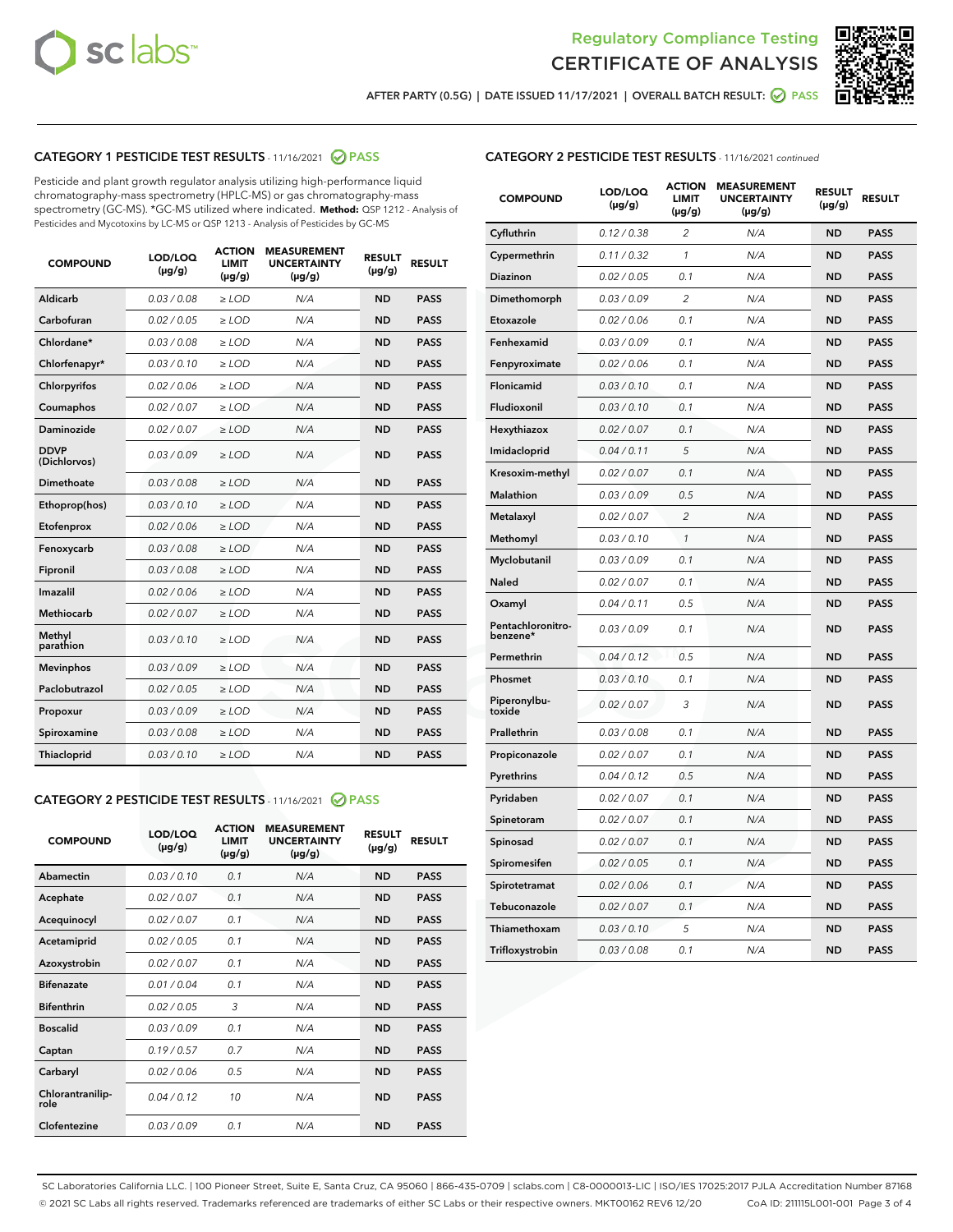



AFTER PARTY (0.5G) | DATE ISSUED 11/17/2021 | OVERALL BATCH RESULT:  $\bigcirc$  PASS

## CATEGORY 1 PESTICIDE TEST RESULTS - 11/16/2021 2 PASS

Pesticide and plant growth regulator analysis utilizing high-performance liquid chromatography-mass spectrometry (HPLC-MS) or gas chromatography-mass spectrometry (GC-MS). \*GC-MS utilized where indicated. **Method:** QSP 1212 - Analysis of Pesticides and Mycotoxins by LC-MS or QSP 1213 - Analysis of Pesticides by GC-MS

| <b>COMPOUND</b>             | LOD/LOQ<br>$(\mu g/g)$ | <b>ACTION</b><br><b>LIMIT</b><br>$(\mu q/q)$ | <b>MEASUREMENT</b><br><b>UNCERTAINTY</b><br>$(\mu g/g)$ | <b>RESULT</b><br>$(\mu g/g)$ | <b>RESULT</b> |
|-----------------------------|------------------------|----------------------------------------------|---------------------------------------------------------|------------------------------|---------------|
| Aldicarb                    | 0.03 / 0.08            | $\ge$ LOD                                    | N/A                                                     | <b>ND</b>                    | <b>PASS</b>   |
| Carbofuran                  | 0.02 / 0.05            | $\ge$ LOD                                    | N/A                                                     | <b>ND</b>                    | <b>PASS</b>   |
| Chlordane*                  | 0.03 / 0.08            | $\ge$ LOD                                    | N/A                                                     | <b>ND</b>                    | <b>PASS</b>   |
| Chlorfenapyr*               | 0.03/0.10              | $\ge$ LOD                                    | N/A                                                     | <b>ND</b>                    | <b>PASS</b>   |
| Chlorpyrifos                | 0.02 / 0.06            | $\ge$ LOD                                    | N/A                                                     | <b>ND</b>                    | <b>PASS</b>   |
| Coumaphos                   | 0.02 / 0.07            | $\ge$ LOD                                    | N/A                                                     | <b>ND</b>                    | <b>PASS</b>   |
| Daminozide                  | 0.02 / 0.07            | $\ge$ LOD                                    | N/A                                                     | <b>ND</b>                    | <b>PASS</b>   |
| <b>DDVP</b><br>(Dichlorvos) | 0.03/0.09              | $\ge$ LOD                                    | N/A                                                     | <b>ND</b>                    | <b>PASS</b>   |
| Dimethoate                  | 0.03 / 0.08            | $\ge$ LOD                                    | N/A                                                     | <b>ND</b>                    | <b>PASS</b>   |
| Ethoprop(hos)               | 0.03/0.10              | $\ge$ LOD                                    | N/A                                                     | <b>ND</b>                    | <b>PASS</b>   |
| Etofenprox                  | 0.02/0.06              | $>$ LOD                                      | N/A                                                     | <b>ND</b>                    | <b>PASS</b>   |
| Fenoxycarb                  | 0.03 / 0.08            | $\ge$ LOD                                    | N/A                                                     | <b>ND</b>                    | <b>PASS</b>   |
| Fipronil                    | 0.03/0.08              | $>$ LOD                                      | N/A                                                     | <b>ND</b>                    | <b>PASS</b>   |
| Imazalil                    | 0.02 / 0.06            | $\ge$ LOD                                    | N/A                                                     | <b>ND</b>                    | <b>PASS</b>   |
| Methiocarb                  | 0.02 / 0.07            | $\ge$ LOD                                    | N/A                                                     | <b>ND</b>                    | <b>PASS</b>   |
| Methyl<br>parathion         | 0.03/0.10              | $>$ LOD                                      | N/A                                                     | <b>ND</b>                    | <b>PASS</b>   |
| <b>Mevinphos</b>            | 0.03/0.09              | $>$ LOD                                      | N/A                                                     | <b>ND</b>                    | <b>PASS</b>   |
| Paclobutrazol               | 0.02 / 0.05            | $>$ LOD                                      | N/A                                                     | <b>ND</b>                    | <b>PASS</b>   |
| Propoxur                    | 0.03/0.09              | $\ge$ LOD                                    | N/A                                                     | <b>ND</b>                    | <b>PASS</b>   |
| Spiroxamine                 | 0.03 / 0.08            | $\ge$ LOD                                    | N/A                                                     | <b>ND</b>                    | <b>PASS</b>   |
| Thiacloprid                 | 0.03/0.10              | $\ge$ LOD                                    | N/A                                                     | <b>ND</b>                    | <b>PASS</b>   |

#### CATEGORY 2 PESTICIDE TEST RESULTS - 11/16/2021 @ PASS

| <b>COMPOUND</b>          | LOD/LOO<br>$(\mu g/g)$ | <b>ACTION</b><br>LIMIT<br>$(\mu g/g)$ | <b>MEASUREMENT</b><br><b>UNCERTAINTY</b><br>$(\mu g/g)$ | <b>RESULT</b><br>$(\mu g/g)$ | <b>RESULT</b> |  |
|--------------------------|------------------------|---------------------------------------|---------------------------------------------------------|------------------------------|---------------|--|
| Abamectin                | 0.03/0.10              | 0.1                                   | N/A                                                     | <b>ND</b>                    | <b>PASS</b>   |  |
| Acephate                 | 0.02/0.07              | 0.1                                   | N/A                                                     | <b>ND</b>                    | <b>PASS</b>   |  |
| Acequinocyl              | 0.02/0.07              | 0.1                                   | N/A                                                     | <b>ND</b>                    | <b>PASS</b>   |  |
| Acetamiprid              | 0.02 / 0.05            | 0.1                                   | N/A                                                     | <b>ND</b>                    | <b>PASS</b>   |  |
| Azoxystrobin             | 0.02/0.07              | 0.1                                   | N/A                                                     | <b>ND</b>                    | <b>PASS</b>   |  |
| <b>Bifenazate</b>        | 0.01 / 0.04            | 0.1                                   | N/A                                                     | <b>ND</b>                    | <b>PASS</b>   |  |
| <b>Bifenthrin</b>        | 0.02 / 0.05            | 3                                     | N/A                                                     | <b>ND</b>                    | <b>PASS</b>   |  |
| <b>Boscalid</b>          | 0.03/0.09              | 0.1                                   | N/A                                                     | <b>ND</b>                    | <b>PASS</b>   |  |
| Captan                   | 0.19/0.57              | 0.7                                   | N/A                                                     | <b>ND</b>                    | <b>PASS</b>   |  |
| Carbaryl                 | 0.02/0.06              | 0.5                                   | N/A                                                     | <b>ND</b>                    | <b>PASS</b>   |  |
| Chlorantranilip-<br>role | 0.04/0.12              | 10                                    | N/A                                                     | <b>ND</b>                    | <b>PASS</b>   |  |
| Clofentezine             | 0.03/0.09              | 0.1                                   | N/A                                                     | <b>ND</b>                    | <b>PASS</b>   |  |

## CATEGORY 2 PESTICIDE TEST RESULTS - 11/16/2021 continued

| <b>COMPOUND</b>               | LOD/LOQ<br>(µg/g) | <b>ACTION</b><br><b>LIMIT</b><br>$(\mu g/g)$ | <b>MEASUREMENT</b><br><b>UNCERTAINTY</b><br>$(\mu g/g)$ | <b>RESULT</b><br>(µg/g) | <b>RESULT</b> |
|-------------------------------|-------------------|----------------------------------------------|---------------------------------------------------------|-------------------------|---------------|
| Cyfluthrin                    | 0.12 / 0.38       | $\overline{c}$                               | N/A                                                     | ND                      | <b>PASS</b>   |
| Cypermethrin                  | 0.11 / 0.32       | $\mathcal{I}$                                | N/A                                                     | ND                      | <b>PASS</b>   |
| <b>Diazinon</b>               | 0.02 / 0.05       | 0.1                                          | N/A                                                     | <b>ND</b>               | <b>PASS</b>   |
| Dimethomorph                  | 0.03 / 0.09       | 2                                            | N/A                                                     | ND                      | <b>PASS</b>   |
| Etoxazole                     | 0.02 / 0.06       | 0.1                                          | N/A                                                     | ND                      | <b>PASS</b>   |
| Fenhexamid                    | 0.03 / 0.09       | 0.1                                          | N/A                                                     | ND                      | <b>PASS</b>   |
| Fenpyroximate                 | 0.02 / 0.06       | 0.1                                          | N/A                                                     | <b>ND</b>               | <b>PASS</b>   |
| Flonicamid                    | 0.03 / 0.10       | 0.1                                          | N/A                                                     | ND                      | <b>PASS</b>   |
| Fludioxonil                   | 0.03 / 0.10       | 0.1                                          | N/A                                                     | ND                      | <b>PASS</b>   |
| Hexythiazox                   | 0.02 / 0.07       | 0.1                                          | N/A                                                     | ND                      | <b>PASS</b>   |
| Imidacloprid                  | 0.04 / 0.11       | 5                                            | N/A                                                     | ND                      | <b>PASS</b>   |
| Kresoxim-methyl               | 0.02 / 0.07       | 0.1                                          | N/A                                                     | ND                      | <b>PASS</b>   |
| Malathion                     | 0.03 / 0.09       | 0.5                                          | N/A                                                     | ND                      | <b>PASS</b>   |
| Metalaxyl                     | 0.02 / 0.07       | $\overline{c}$                               | N/A                                                     | ND                      | <b>PASS</b>   |
| Methomyl                      | 0.03 / 0.10       | $\mathbf{1}$                                 | N/A                                                     | ND                      | <b>PASS</b>   |
| Myclobutanil                  | 0.03 / 0.09       | 0.1                                          | N/A                                                     | <b>ND</b>               | <b>PASS</b>   |
| Naled                         | 0.02 / 0.07       | 0.1                                          | N/A                                                     | ND                      | <b>PASS</b>   |
| Oxamyl                        | 0.04 / 0.11       | 0.5                                          | N/A                                                     | ND                      | PASS          |
| Pentachloronitro-<br>benzene* | 0.03 / 0.09       | 0.1                                          | N/A                                                     | ND                      | <b>PASS</b>   |
| Permethrin                    | 0.04 / 0.12       | 0.5                                          | N/A                                                     | ND                      | <b>PASS</b>   |
| Phosmet                       | 0.03 / 0.10       | 0.1                                          | N/A                                                     | ND                      | <b>PASS</b>   |
| Piperonylbu-<br>toxide        | 0.02 / 0.07       | 3                                            | N/A                                                     | <b>ND</b>               | <b>PASS</b>   |
| Prallethrin                   | 0.03 / 0.08       | 0.1                                          | N/A                                                     | ND                      | <b>PASS</b>   |
| Propiconazole                 | 0.02 / 0.07       | 0.1                                          | N/A                                                     | <b>ND</b>               | <b>PASS</b>   |
| Pyrethrins                    | 0.04 / 0.12       | 0.5                                          | N/A                                                     | ND                      | <b>PASS</b>   |
| Pyridaben                     | 0.02 / 0.07       | 0.1                                          | N/A                                                     | <b>ND</b>               | <b>PASS</b>   |
| Spinetoram                    | 0.02 / 0.07       | 0.1                                          | N/A                                                     | ND                      | <b>PASS</b>   |
| Spinosad                      | 0.02 / 0.07       | 0.1                                          | N/A                                                     | ND                      | <b>PASS</b>   |
| Spiromesifen                  | 0.02 / 0.05       | 0.1                                          | N/A                                                     | <b>ND</b>               | <b>PASS</b>   |
| Spirotetramat                 | 0.02 / 0.06       | 0.1                                          | N/A                                                     | ND                      | <b>PASS</b>   |
| Tebuconazole                  | 0.02 / 0.07       | 0.1                                          | N/A                                                     | ND                      | <b>PASS</b>   |
| Thiamethoxam                  | 0.03 / 0.10       | 5                                            | N/A                                                     | <b>ND</b>               | <b>PASS</b>   |
| Trifloxystrobin               | 0.03 / 0.08       | 0.1                                          | N/A                                                     | <b>ND</b>               | <b>PASS</b>   |

SC Laboratories California LLC. | 100 Pioneer Street, Suite E, Santa Cruz, CA 95060 | 866-435-0709 | sclabs.com | C8-0000013-LIC | ISO/IES 17025:2017 PJLA Accreditation Number 87168 © 2021 SC Labs all rights reserved. Trademarks referenced are trademarks of either SC Labs or their respective owners. MKT00162 REV6 12/20 CoA ID: 211115L001-001 Page 3 of 4